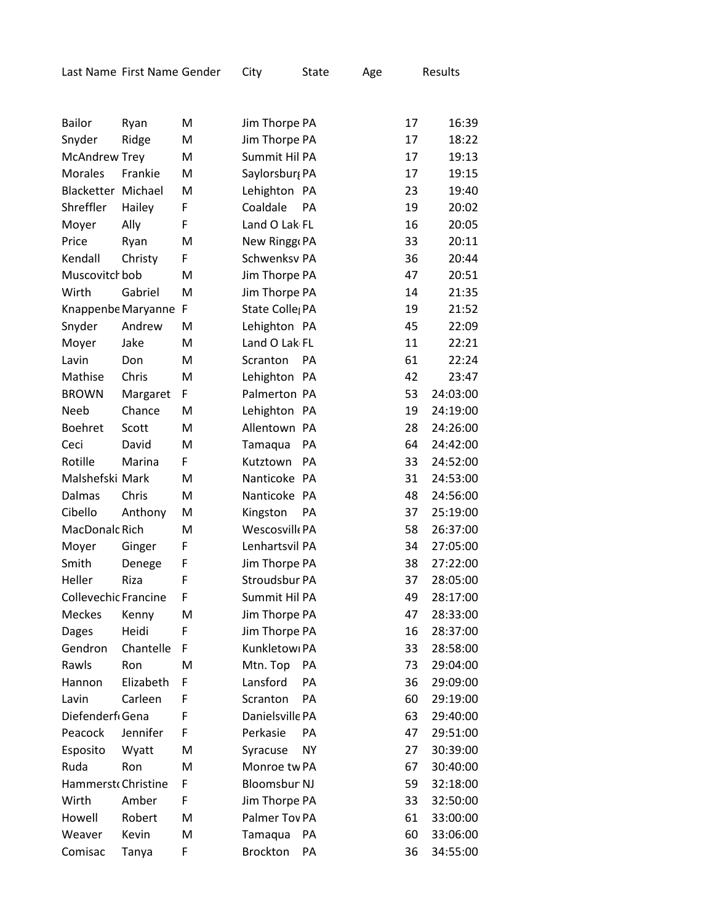| <b>Bailor</b>        | Ryan                 | M | Jim Thorpe PA               |           | 17 | 16:39    |
|----------------------|----------------------|---|-----------------------------|-----------|----|----------|
| Snyder               | Ridge                | M | Jim Thorpe PA               |           | 17 | 18:22    |
| <b>McAndrew Trey</b> |                      | M | Summit Hil PA               |           | 17 | 19:13    |
| <b>Morales</b>       | Frankie              | M | Saylorsbur, PA              |           | 17 | 19:15    |
| Blacketter Michael   |                      | M | Lehighton PA                |           | 23 | 19:40    |
| Shreffler            | Hailey               | F | Coaldale                    | PA        | 19 | 20:02    |
| Moyer                | Ally                 | F | Land O Lak FL               |           | 16 | 20:05    |
| Price                | Ryan                 | M | New Ringg PA                |           | 33 | 20:11    |
| Kendall              | Christy              | F | Schwenksv PA                |           | 36 | 20:44    |
| Muscovitch bob       |                      | M | Jim Thorpe PA               |           | 47 | 20:51    |
| Wirth                | Gabriel              | M | Jim Thorpe PA               |           | 14 | 21:35    |
|                      | Knappenbe Maryanne F |   | State Colle <sub>l</sub> PA |           | 19 | 21:52    |
| Snyder               | Andrew               | M | Lehighton PA                |           | 45 | 22:09    |
| Moyer                | Jake                 | M | Land O Lak FL               |           | 11 | 22:21    |
| Lavin                | Don                  | M | Scranton                    | PA        | 61 | 22:24    |
| Mathise              | Chris                | M | Lehighton PA                |           | 42 | 23:47    |
| <b>BROWN</b>         | Margaret             | F | Palmerton PA                |           | 53 | 24:03:00 |
| <b>Neeb</b>          | Chance               | M | Lehighton PA                |           | 19 | 24:19:00 |
| <b>Boehret</b>       | Scott                | M | Allentown PA                |           | 28 | 24:26:00 |
| Ceci                 | David                | M | Tamaqua                     | <b>PA</b> | 64 | 24:42:00 |
| Rotille              | Marina               | F | Kutztown                    | PA        | 33 | 24:52:00 |
| Malshefski Mark      |                      | M | Nanticoke PA                |           | 31 | 24:53:00 |
| Dalmas               | Chris                | M | Nanticoke PA                |           | 48 | 24:56:00 |
| Cibello              | Anthony              | M | Kingston                    | PA        | 37 | 25:19:00 |
| MacDonalc Rich       |                      | M | Wescosvill PA               |           | 58 | 26:37:00 |
| Moyer                | Ginger               | F | Lenhartsvil PA              |           | 34 | 27:05:00 |
| Smith                | Denege               | F | Jim Thorpe PA               |           | 38 | 27:22:00 |
| Heller               | Riza                 | F | Stroudsbur PA               |           | 37 | 28:05:00 |
| Collevechic Francine |                      | F | Summit Hil PA               |           | 49 | 28:17:00 |
| <b>Meckes</b>        | Kenny                | M | Jim Thorpe PA               |           | 47 | 28:33:00 |
| Dages                | Heidi                | F | Jim Thorpe PA               |           | 16 | 28:37:00 |
| Gendron              | Chantelle            | F | Kunkletowi PA               |           | 33 | 28:58:00 |
| Rawls                | Ron                  | M | Mtn. Top                    | PA        | 73 | 29:04:00 |
| Hannon               | Elizabeth            | F | Lansford                    | PA        | 36 | 29:09:00 |
| Lavin                | Carleen              | F | Scranton                    | PA        | 60 | 29:19:00 |
| Diefenderf Gena      |                      | F | Danielsville PA             |           | 63 | 29:40:00 |
| Peacock              | Jennifer             | F | Perkasie                    | PA        | 47 | 29:51:00 |
| Esposito             | Wyatt                | M | Syracuse                    | <b>NY</b> | 27 | 30:39:00 |
| Ruda                 | Ron                  | M | Monroe tw PA                |           | 67 | 30:40:00 |
| Hammerst Christine   |                      | F | <b>Bloomsbur NJ</b>         |           | 59 | 32:18:00 |
| Wirth                | Amber                | F | Jim Thorpe PA               |           | 33 | 32:50:00 |
| Howell               | Robert               | M | Palmer Tov PA               |           | 61 | 33:00:00 |
| Weaver               | Kevin                | M | Tamaqua                     | PA        | 60 | 33:06:00 |
| Comisac              | Tanya                | F | <b>Brockton</b>             | PA        | 36 | 34:55:00 |